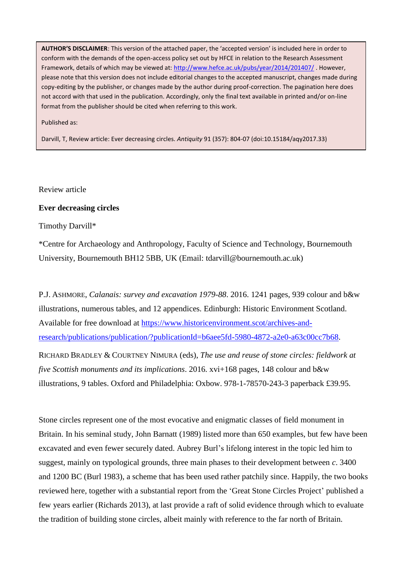**AUTHOR'S DISCLAIMER**: This version of the attached paper, the 'accepted version' is included here in order to conform with the demands of the open-access policy set out by HFCE in relation to the Research Assessment Framework, details of which may be viewed at:<http://www.hefce.ac.uk/pubs/year/2014/201407/> . However, please note that this version does not include editorial changes to the accepted manuscript, changes made during copy-editing by the publisher, or changes made by the author during proof-correction. The pagination here does not accord with that used in the publication. Accordingly, only the final text available in printed and/or on-line format from the publisher should be cited when referring to this work.

Published as:

Darvill, T, Review article: Ever decreasing circles. *Antiquity* 91 (357): 804-07 (doi:10.15184/aqy2017.33)

Review article

## **Ever decreasing circles**

Timothy Darvill\*

\*Centre for Archaeology and Anthropology, Faculty of Science and Technology, Bournemouth University, Bournemouth BH12 5BB, UK (Email: tdarvill@bournemouth.ac.uk)

P.J. ASHMORE, *Calanais: survey and excavation 1979-88*. 2016. 1241 pages, 939 colour and b&w illustrations, numerous tables, and 12 appendices. Edinburgh: Historic Environment Scotland. Available for free download at [https://www.historicenvironment.scot/archives-and](https://www.historicenvironment.scot/archives-and-research/publications/publication/?publicationId=b6aee5fd-5980-4872-a2e0-a63c00cc7b68)[research/publications/publication/?publicationId=b6aee5fd-5980-4872-a2e0-a63c00cc7b68.](https://www.historicenvironment.scot/archives-and-research/publications/publication/?publicationId=b6aee5fd-5980-4872-a2e0-a63c00cc7b68)

RICHARD BRADLEY & COURTNEY NIMURA (eds), *The use and reuse of stone circles: fieldwork at five Scottish monuments and its implications*. 2016. xvi+168 pages, 148 colour and b&w illustrations, 9 tables. Oxford and Philadelphia: Oxbow. 978-1-78570-243-3 paperback £39.95.

Stone circles represent one of the most evocative and enigmatic classes of field monument in Britain. In his seminal study, John Barnatt (1989) listed more than 650 examples, but few have been excavated and even fewer securely dated. Aubrey Burl's lifelong interest in the topic led him to suggest, mainly on typological grounds, three main phases to their development between *c*. 3400 and 1200 BC (Burl 1983), a scheme that has been used rather patchily since. Happily, the two books reviewed here, together with a substantial report from the 'Great Stone Circles Project' published a few years earlier (Richards 2013), at last provide a raft of solid evidence through which to evaluate the tradition of building stone circles, albeit mainly with reference to the far north of Britain.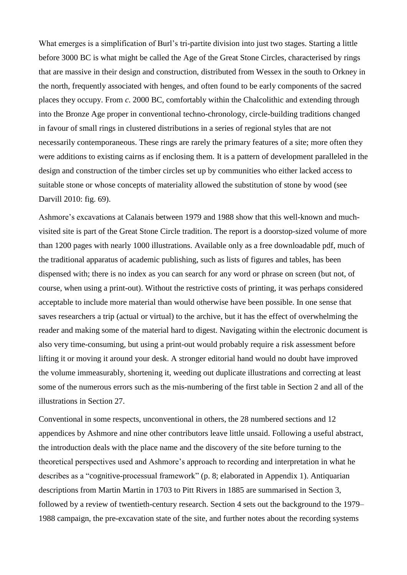What emerges is a simplification of Burl's tri-partite division into just two stages. Starting a little before 3000 BC is what might be called the Age of the Great Stone Circles, characterised by rings that are massive in their design and construction, distributed from Wessex in the south to Orkney in the north, frequently associated with henges, and often found to be early components of the sacred places they occupy. From *c*. 2000 BC, comfortably within the Chalcolithic and extending through into the Bronze Age proper in conventional techno-chronology, circle-building traditions changed in favour of small rings in clustered distributions in a series of regional styles that are not necessarily contemporaneous. These rings are rarely the primary features of a site; more often they were additions to existing cairns as if enclosing them. It is a pattern of development paralleled in the design and construction of the timber circles set up by communities who either lacked access to suitable stone or whose concepts of materiality allowed the substitution of stone by wood (see Darvill 2010: fig. 69).

Ashmore's excavations at Calanais between 1979 and 1988 show that this well-known and muchvisited site is part of the Great Stone Circle tradition. The report is a doorstop-sized volume of more than 1200 pages with nearly 1000 illustrations. Available only as a free downloadable pdf, much of the traditional apparatus of academic publishing, such as lists of figures and tables, has been dispensed with; there is no index as you can search for any word or phrase on screen (but not, of course, when using a print-out). Without the restrictive costs of printing, it was perhaps considered acceptable to include more material than would otherwise have been possible. In one sense that saves researchers a trip (actual or virtual) to the archive, but it has the effect of overwhelming the reader and making some of the material hard to digest. Navigating within the electronic document is also very time-consuming, but using a print-out would probably require a risk assessment before lifting it or moving it around your desk. A stronger editorial hand would no doubt have improved the volume immeasurably, shortening it, weeding out duplicate illustrations and correcting at least some of the numerous errors such as the mis-numbering of the first table in Section 2 and all of the illustrations in Section 27.

Conventional in some respects, unconventional in others, the 28 numbered sections and 12 appendices by Ashmore and nine other contributors leave little unsaid. Following a useful abstract, the introduction deals with the place name and the discovery of the site before turning to the theoretical perspectives used and Ashmore's approach to recording and interpretation in what he describes as a "cognitive-processual framework" (p. 8; elaborated in Appendix 1). Antiquarian descriptions from Martin Martin in 1703 to Pitt Rivers in 1885 are summarised in Section 3, followed by a review of twentieth-century research. Section 4 sets out the background to the 1979– 1988 campaign, the pre-excavation state of the site, and further notes about the recording systems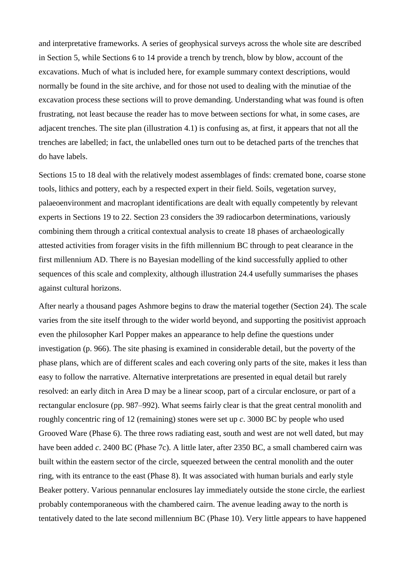and interpretative frameworks. A series of geophysical surveys across the whole site are described in Section 5, while Sections 6 to 14 provide a trench by trench, blow by blow, account of the excavations. Much of what is included here, for example summary context descriptions, would normally be found in the site archive, and for those not used to dealing with the minutiae of the excavation process these sections will to prove demanding. Understanding what was found is often frustrating, not least because the reader has to move between sections for what, in some cases, are adjacent trenches. The site plan (illustration 4.1) is confusing as, at first, it appears that not all the trenches are labelled; in fact, the unlabelled ones turn out to be detached parts of the trenches that do have labels.

Sections 15 to 18 deal with the relatively modest assemblages of finds: cremated bone, coarse stone tools, lithics and pottery, each by a respected expert in their field. Soils, vegetation survey, palaeoenvironment and macroplant identifications are dealt with equally competently by relevant experts in Sections 19 to 22. Section 23 considers the 39 radiocarbon determinations, variously combining them through a critical contextual analysis to create 18 phases of archaeologically attested activities from forager visits in the fifth millennium BC through to peat clearance in the first millennium AD. There is no Bayesian modelling of the kind successfully applied to other sequences of this scale and complexity, although illustration 24.4 usefully summarises the phases against cultural horizons.

After nearly a thousand pages Ashmore begins to draw the material together (Section 24). The scale varies from the site itself through to the wider world beyond, and supporting the positivist approach even the philosopher Karl Popper makes an appearance to help define the questions under investigation (p. 966). The site phasing is examined in considerable detail, but the poverty of the phase plans, which are of different scales and each covering only parts of the site, makes it less than easy to follow the narrative. Alternative interpretations are presented in equal detail but rarely resolved: an early ditch in Area D may be a linear scoop, part of a circular enclosure, or part of a rectangular enclosure (pp. 987–992). What seems fairly clear is that the great central monolith and roughly concentric ring of 12 (remaining) stones were set up *c*. 3000 BC by people who used Grooved Ware (Phase 6). The three rows radiating east, south and west are not well dated, but may have been added *c*. 2400 BC (Phase 7c). A little later, after 2350 BC, a small chambered cairn was built within the eastern sector of the circle, squeezed between the central monolith and the outer ring, with its entrance to the east (Phase 8). It was associated with human burials and early style Beaker pottery. Various pennanular enclosures lay immediately outside the stone circle, the earliest probably contemporaneous with the chambered cairn. The avenue leading away to the north is tentatively dated to the late second millennium BC (Phase 10). Very little appears to have happened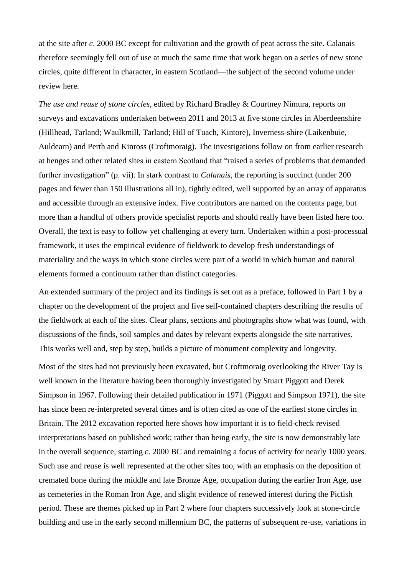at the site after *c*. 2000 BC except for cultivation and the growth of peat across the site. Calanais therefore seemingly fell out of use at much the same time that work began on a series of new stone circles, quite different in character, in eastern Scotland—the subject of the second volume under review here.

*The use and reuse of stone circles*, edited by Richard Bradley & Courtney Nimura, reports on surveys and excavations undertaken between 2011 and 2013 at five stone circles in Aberdeenshire (Hillhead, Tarland; Waulkmill, Tarland; Hill of Tuach, Kintore), Inverness-shire (Laikenbuie, Auldearn) and Perth and Kinross (Croftmoraig). The investigations follow on from earlier research at henges and other related sites in eastern Scotland that "raised a series of problems that demanded further investigation" (p. vii). In stark contrast to *Calanais*, the reporting is succinct (under 200 pages and fewer than 150 illustrations all in), tightly edited, well supported by an array of apparatus and accessible through an extensive index. Five contributors are named on the contents page, but more than a handful of others provide specialist reports and should really have been listed here too. Overall, the text is easy to follow yet challenging at every turn. Undertaken within a post-processual framework, it uses the empirical evidence of fieldwork to develop fresh understandings of materiality and the ways in which stone circles were part of a world in which human and natural elements formed a continuum rather than distinct categories.

An extended summary of the project and its findings is set out as a preface, followed in Part 1 by a chapter on the development of the project and five self-contained chapters describing the results of the fieldwork at each of the sites. Clear plans, sections and photographs show what was found, with discussions of the finds, soil samples and dates by relevant experts alongside the site narratives. This works well and, step by step, builds a picture of monument complexity and longevity.

Most of the sites had not previously been excavated, but Croftmoraig overlooking the River Tay is well known in the literature having been thoroughly investigated by Stuart Piggott and Derek Simpson in 1967. Following their detailed publication in 1971 (Piggott and Simpson 1971), the site has since been re-interpreted several times and is often cited as one of the earliest stone circles in Britain. The 2012 excavation reported here shows how important it is to field-check revised interpretations based on published work; rather than being early, the site is now demonstrably late in the overall sequence, starting *c*. 2000 BC and remaining a focus of activity for nearly 1000 years. Such use and reuse is well represented at the other sites too, with an emphasis on the deposition of cremated bone during the middle and late Bronze Age, occupation during the earlier Iron Age, use as cemeteries in the Roman Iron Age, and slight evidence of renewed interest during the Pictish period. These are themes picked up in Part 2 where four chapters successively look at stone-circle building and use in the early second millennium BC, the patterns of subsequent re-use, variations in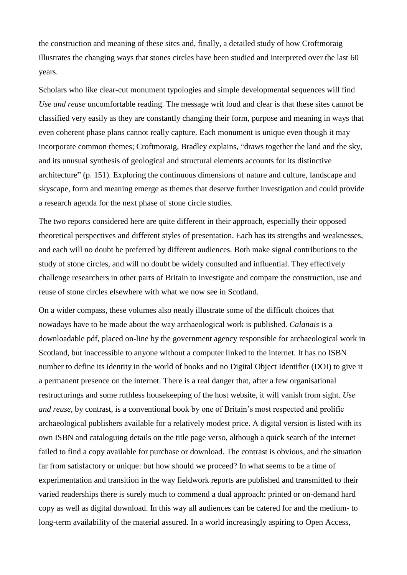the construction and meaning of these sites and, finally, a detailed study of how Croftmoraig illustrates the changing ways that stones circles have been studied and interpreted over the last 60 years.

Scholars who like clear-cut monument typologies and simple developmental sequences will find *Use and reuse* uncomfortable reading. The message writ loud and clear is that these sites cannot be classified very easily as they are constantly changing their form, purpose and meaning in ways that even coherent phase plans cannot really capture. Each monument is unique even though it may incorporate common themes; Croftmoraig, Bradley explains, "draws together the land and the sky, and its unusual synthesis of geological and structural elements accounts for its distinctive architecture" (p. 151). Exploring the continuous dimensions of nature and culture, landscape and skyscape, form and meaning emerge as themes that deserve further investigation and could provide a research agenda for the next phase of stone circle studies.

The two reports considered here are quite different in their approach, especially their opposed theoretical perspectives and different styles of presentation. Each has its strengths and weaknesses, and each will no doubt be preferred by different audiences. Both make signal contributions to the study of stone circles, and will no doubt be widely consulted and influential. They effectively challenge researchers in other parts of Britain to investigate and compare the construction, use and reuse of stone circles elsewhere with what we now see in Scotland.

On a wider compass, these volumes also neatly illustrate some of the difficult choices that nowadays have to be made about the way archaeological work is published. *Calanais* is a downloadable pdf, placed on-line by the government agency responsible for archaeological work in Scotland, but inaccessible to anyone without a computer linked to the internet. It has no ISBN number to define its identity in the world of books and no Digital Object Identifier (DOI) to give it a permanent presence on the internet. There is a real danger that, after a few organisational restructurings and some ruthless housekeeping of the host website, it will vanish from sight. *Use and reuse*, by contrast, is a conventional book by one of Britain's most respected and prolific archaeological publishers available for a relatively modest price. A digital version is listed with its own ISBN and cataloguing details on the title page verso, although a quick search of the internet failed to find a copy available for purchase or download. The contrast is obvious, and the situation far from satisfactory or unique: but how should we proceed? In what seems to be a time of experimentation and transition in the way fieldwork reports are published and transmitted to their varied readerships there is surely much to commend a dual approach: printed or on-demand hard copy as well as digital download. In this way all audiences can be catered for and the medium- to long-term availability of the material assured. In a world increasingly aspiring to Open Access,